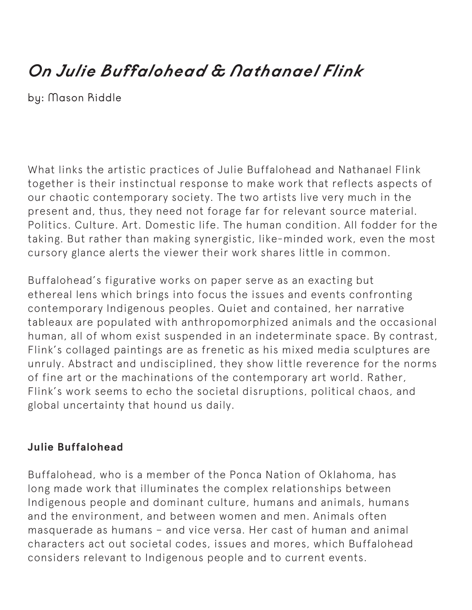## *On Julie Buffalohead & Nathanael Flink*

by: Mason Riddle

What links the artistic practices of Julie Buffalohead and Nathanael Flink together is their instinctual response to make work that reflects aspects of our chaotic contemporary society. The two artists live very much in the present and, thus, they need not forage far for relevant source material. Politics. Culture. Art. Domestic life. The human condition. All fodder for the taking. But rather than making synergistic, like-minded work, even the most cursory glance alerts the viewer their work shares little in common.

Buffalohead's figurative works on paper serve as an exacting but ethereal lens which brings into focus the issues and events confronting contemporary Indigenous peoples. Quiet and contained, her narrative tableaux are populated with anthropomorphized animals and the occasional human, all of whom exist suspended in an indeterminate space. By contrast, Flink's collaged paintings are as frenetic as his mixed media sculptures are unruly. Abstract and undisciplined, they show little reverence for the norms of fine art or the machinations of the contemporary art world. Rather, Flink's work seems to echo the societal disruptions, political chaos, and global uncertainty that hound us daily.

## **Julie Buffalohead**

Buffalohead, who is a member of the Ponca Nation of Oklahoma, has long made work that illuminates the complex relationships between Indigenous people and dominant culture, humans and animals, humans and the environment, and between women and men. Animals often masquerade as humans – and vice versa. Her cast of human and animal characters act out societal codes, issues and mores, which Buffalohead considers relevant to Indigenous people and to current events.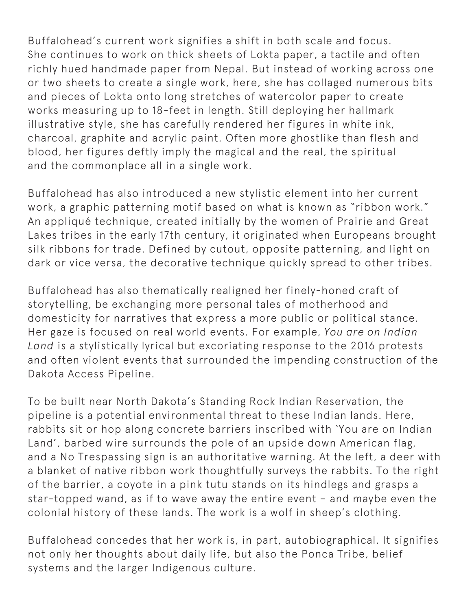Buffalohead's current work signifies a shift in both scale and focus. She continues to work on thick sheets of Lokta paper, a tactile and often richly hued handmade paper from Nepal. But instead of working across one or two sheets to create a single work, here, she has collaged numerous bits and pieces of Lokta onto long stretches of watercolor paper to create works measuring up to 18-feet in length. Still deploying her hallmark illustrative style, she has carefully rendered her figures in white ink, charcoal, graphite and acrylic paint. Often more ghostlike than flesh and blood, her figures deftly imply the magical and the real, the spiritual and the commonplace all in a single work.

Buffalohead has also introduced a new stylistic element into her current work, a graphic patterning motif based on what is known as "ribbon work." An appliqué technique, created initially by the women of Prairie and Great Lakes tribes in the early 17th century, it originated when Europeans brought silk ribbons for trade. Defined by cutout, opposite patterning, and light on dark or vice versa, the decorative technique quickly spread to other tribes.

Buffalohead has also thematically realigned her finely-honed craft of storytelling, be exchanging more personal tales of motherhood and domesticity for narratives that express a more public or political stance. Her gaze is focused on real world events. For example, *You are on Indian Land* is a stylistically lyrical but excoriating response to the 2016 protests and often violent events that surrounded the impending construction of the Dakota Access Pipeline.

To be built near North Dakota's Standing Rock Indian Reservation, the pipeline is a potential environmental threat to these Indian lands. Here, rabbits sit or hop along concrete barriers inscribed with 'You are on Indian Land', barbed wire surrounds the pole of an upside down American flag, and a No Trespassing sign is an authoritative warning. At the left, a deer with a blanket of native ribbon work thoughtfully surveys the rabbits. To the right of the barrier, a coyote in a pink tutu stands on its hindlegs and grasps a star-topped wand, as if to wave away the entire event – and maybe even the colonial history of these lands. The work is a wolf in sheep's clothing.

Buffalohead concedes that her work is, in part, autobiographical. It signifies not only her thoughts about daily life, but also the Ponca Tribe, belief systems and the larger Indigenous culture.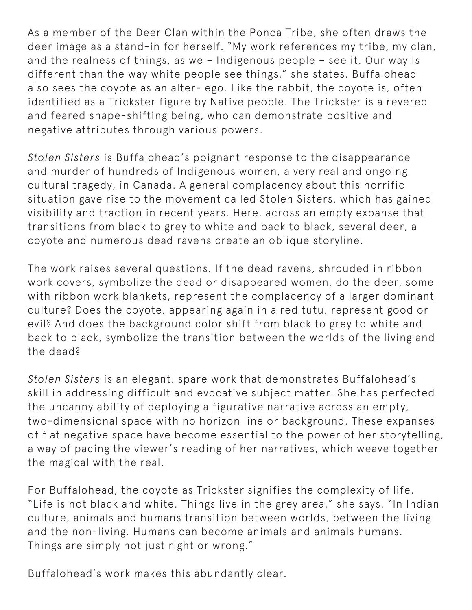As a member of the Deer Clan within the Ponca Tribe, she often draws the deer image as a stand-in for herself. "My work references my tribe, my clan, and the realness of things, as we – Indigenous people – see it. Our way is different than the way white people see things," she states. Buffalohead also sees the coyote as an alter- ego. Like the rabbit, the coyote is, often identified as a Trickster figure by Native people. The Trickster is a revered and feared shape-shifting being, who can demonstrate positive and negative attributes through various powers.

*Stolen Sisters* is Buffalohead's poignant response to the disappearance and murder of hundreds of Indigenous women, a very real and ongoing cultural tragedy, in Canada. A general complacency about this horrific situation gave rise to the movement called Stolen Sisters, which has gained visibility and traction in recent years. Here, across an empty expanse that transitions from black to grey to white and back to black, several deer, a coyote and numerous dead ravens create an oblique storyline.

The work raises several questions. If the dead ravens, shrouded in ribbon work covers, symbolize the dead or disappeared women, do the deer, some with ribbon work blankets, represent the complacency of a larger dominant culture? Does the coyote, appearing again in a red tutu, represent good or evil? And does the background color shift from black to grey to white and back to black, symbolize the transition between the worlds of the living and the dead?

*Stolen Sisters* is an elegant, spare work that demonstrates Buffalohead's skill in addressing difficult and evocative subject matter. She has perfected the uncanny ability of deploying a figurative narrative across an empty, two-dimensional space with no horizon line or background. These expanses of flat negative space have become essential to the power of her storytelling, a way of pacing the viewer's reading of her narratives, which weave together the magical with the real.

For Buffalohead, the coyote as Trickster signifies the complexity of life. "Life is not black and white. Things live in the grey area," she says. "In Indian culture, animals and humans transition between worlds, between the living and the non-living. Humans can become animals and animals humans. Things are simply not just right or wrong."

Buffalohead's work makes this abundantly clear.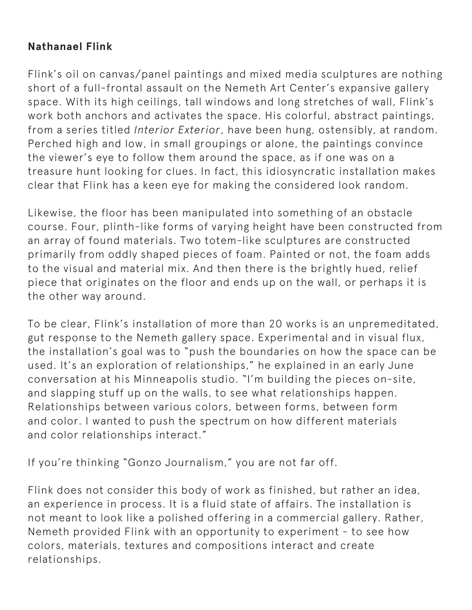## **Nathanael Flink**

Flink's oil on canvas/panel paintings and mixed media sculptures are nothing short of a full-frontal assault on the Nemeth Art Center's expansive gallery space. With its high ceilings, tall windows and long stretches of wall, Flink's work both anchors and activates the space. His colorful, abstract paintings, from a series titled *Interior Exterior*, have been hung, ostensibly, at random. Perched high and low, in small groupings or alone, the paintings convince the viewer's eye to follow them around the space, as if one was on a treasure hunt looking for clues. In fact, this idiosyncratic installation makes clear that Flink has a keen eye for making the considered look random.

Likewise, the floor has been manipulated into something of an obstacle course. Four, plinth-like forms of varying height have been constructed from an array of found materials. Two totem-like sculptures are constructed primarily from oddly shaped pieces of foam. Painted or not, the foam adds to the visual and material mix. And then there is the brightly hued, relief piece that originates on the floor and ends up on the wall, or perhaps it is the other way around.

To be clear, Flink's installation of more than 20 works is an unpremeditated, gut response to the Nemeth gallery space. Experimental and in visual flux, the installation's goal was to "push the boundaries on how the space can be used. It's an exploration of relationships," he explained in an early June conversation at his Minneapolis studio. "I'm building the pieces on-site, and slapping stuff up on the walls, to see what relationships happen. Relationships between various colors, between forms, between form and color. I wanted to push the spectrum on how different materials and color relationships interact."

If you're thinking "Gonzo Journalism," you are not far off.

Flink does not consider this body of work as finished, but rather an idea, an experience in process. It is a fluid state of affairs. The installation is not meant to look like a polished offering in a commercial gallery. Rather, Nemeth provided Flink with an opportunity to experiment - to see how colors, materials, textures and compositions interact and create relationships.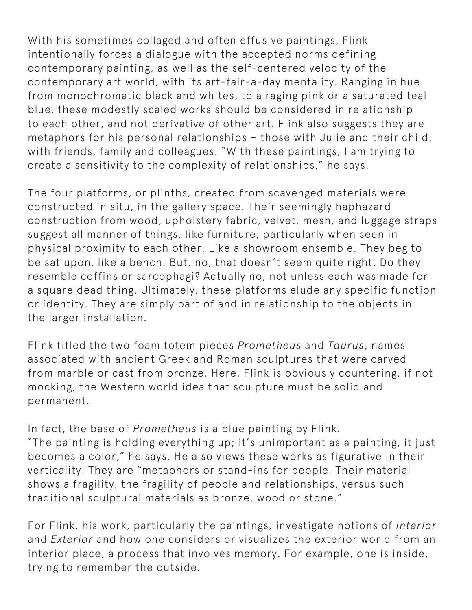With his sometimes collaged and often effusive paintings, Flink intentionally forces a dialogue with the accepted norms defining contemporary painting, as well as the self-centered velocity of the contemporary art world, with its art-fair-a-day mentality. Ranging in hue from monochromatic black and whites, to a raging pink or a saturated teal blue, these modestly scaled works should be considered in relationship to each other, and not derivative of other art. Flink also suggests they are metaphors for his personal relationships – those with Julie and their child, with friends, family and colleagues. "With these paintings, I am trying to create a sensitivity to the complexity of relationships," he says.

The four platforms, or plinths, created from scavenged materials were constructed in situ, in the gallery space. Their seemingly haphazard construction from wood, upholstery fabric, velvet, mesh, and luggage straps suggest all manner of things, like furniture, particularly when seen in physical proximity to each other. Like a showroom ensemble. They beg to be sat upon, like a bench. But, no, that doesn't seem quite right. Do they resemble coffins or sarcophagi? Actually no, not unless each was made for a square dead thing. Ultimately, these platforms elude any specific function or identity. They are simply part of and in relationship to the objects in the larger installation.

Flink titled the two foam totem pieces *Prometheus* and *Taurus*, names associated with ancient Greek and Roman sculptures that were carved from marble or cast from bronze. Here, Flink is obviously countering, if not mocking, the Western world idea that sculpture must be solid and permanent.

In fact, the base of *Prometheus* is a blue painting by Flink. "The painting is holding everything up; it's unimportant as a painting, it just becomes a color," he says. He also views these works as figurative in their verticality. They are "metaphors or stand-ins for people. Their material shows a fragility, the fragility of people and relationships, versus such traditional sculptural materials as bronze, wood or stone."

For Flink, his work, particularly the paintings, investigate notions of *Interior* and *Exterior* and how one considers or visualizes the exterior world from an interior place, a process that involves memory. For example, one is inside, trying to remember the outside.